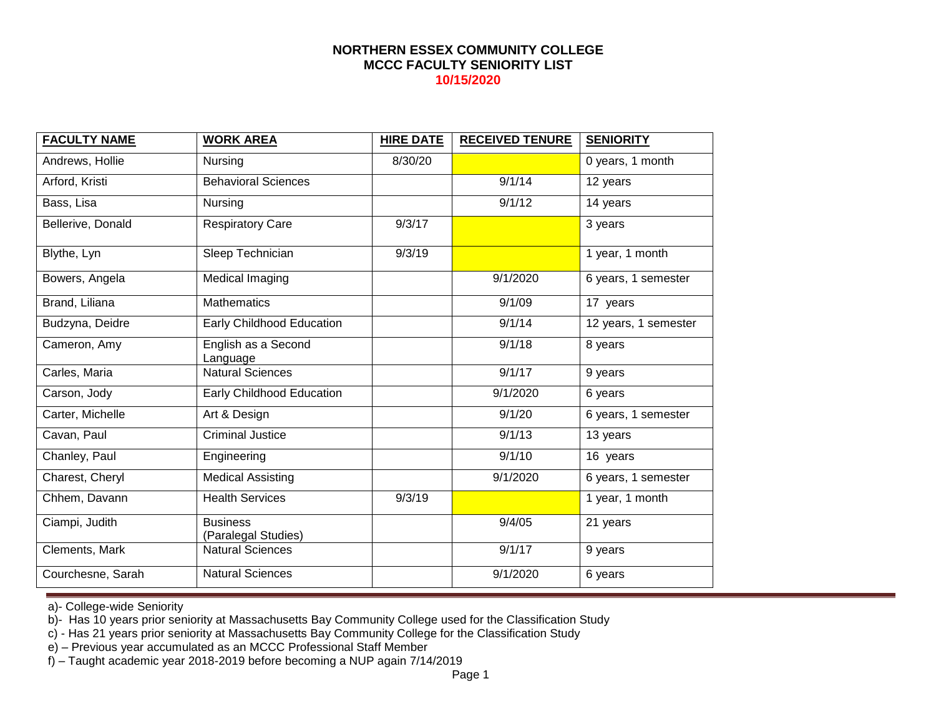| <b>FACULTY NAME</b> | <b>WORK AREA</b>                       | <b>HIRE DATE</b> | <b>RECEIVED TENURE</b> | <b>SENIORITY</b>     |
|---------------------|----------------------------------------|------------------|------------------------|----------------------|
| Andrews, Hollie     | Nursing                                | 8/30/20          |                        | 0 years, 1 month     |
| Arford, Kristi      | <b>Behavioral Sciences</b>             |                  | 9/1/14                 | 12 years             |
| Bass, Lisa          | Nursing                                |                  | 9/1/12                 | 14 years             |
| Bellerive, Donald   | <b>Respiratory Care</b>                | 9/3/17           |                        | 3 years              |
| Blythe, Lyn         | Sleep Technician                       | 9/3/19           |                        | 1 year, 1 month      |
| Bowers, Angela      | Medical Imaging                        |                  | 9/1/2020               | 6 years, 1 semester  |
| Brand, Liliana      | <b>Mathematics</b>                     |                  | 9/1/09                 | 17 years             |
| Budzyna, Deidre     | Early Childhood Education              |                  | 9/1/14                 | 12 years, 1 semester |
| Cameron, Amy        | English as a Second<br>Language        |                  | 9/1/18                 | 8 years              |
| Carles, Maria       | <b>Natural Sciences</b>                |                  | 9/1/17                 | 9 years              |
| Carson, Jody        | Early Childhood Education              |                  | 9/1/2020               | 6 years              |
| Carter, Michelle    | Art & Design                           |                  | 9/1/20                 | 6 years, 1 semester  |
| Cavan, Paul         | <b>Criminal Justice</b>                |                  | 9/1/13                 | 13 years             |
| Chanley, Paul       | Engineering                            |                  | 9/1/10                 | 16 years             |
| Charest, Cheryl     | <b>Medical Assisting</b>               |                  | 9/1/2020               | 6 years, 1 semester  |
| Chhem, Davann       | <b>Health Services</b>                 | 9/3/19           |                        | 1 year, 1 month      |
| Ciampi, Judith      | <b>Business</b><br>(Paralegal Studies) |                  | 9/4/05                 | 21 years             |
| Clements, Mark      | <b>Natural Sciences</b>                |                  | 9/1/17                 | 9 years              |
| Courchesne, Sarah   | <b>Natural Sciences</b>                |                  | 9/1/2020               | 6 years              |

a)- College-wide Seniority

b)- Has 10 years prior seniority at Massachusetts Bay Community College used for the Classification Study

c) - Has 21 years prior seniority at Massachusetts Bay Community College for the Classification Study

e) – Previous year accumulated as an MCCC Professional Staff Member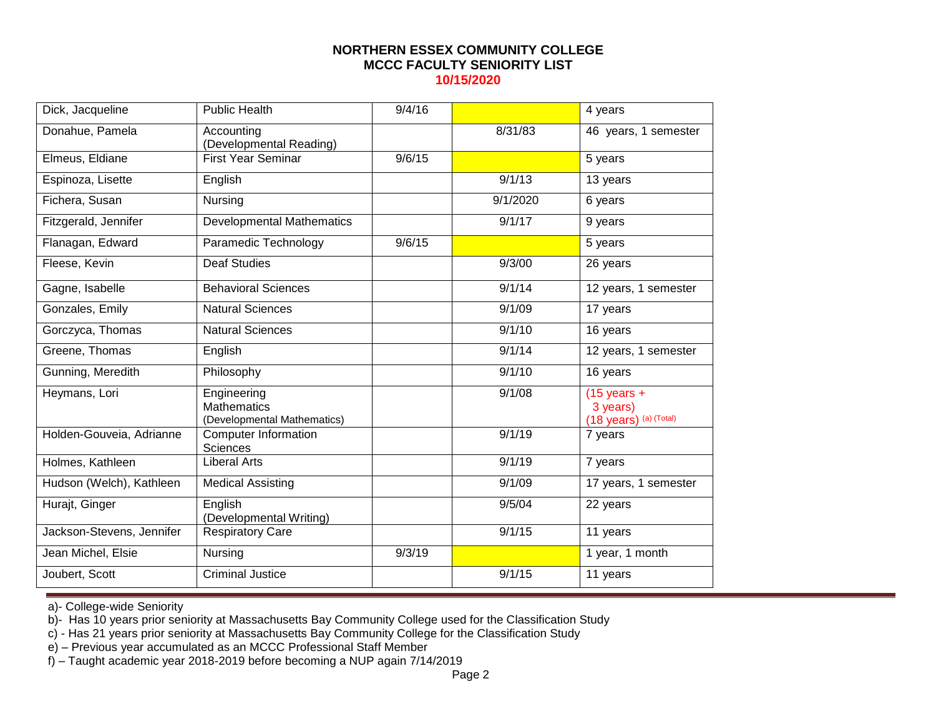| Dick, Jacqueline          | <b>Public Health</b>                                             | 9/4/16 |          | 4 years                                                     |
|---------------------------|------------------------------------------------------------------|--------|----------|-------------------------------------------------------------|
| Donahue, Pamela           | Accounting<br>(Developmental Reading)                            |        | 8/31/83  | 46 years, 1 semester                                        |
| Elmeus, Eldiane           | <b>First Year Seminar</b>                                        | 9/6/15 |          | 5 years                                                     |
| Espinoza, Lisette         | English                                                          |        | 9/1/13   | 13 years                                                    |
| Fichera, Susan            | Nursing                                                          |        | 9/1/2020 | 6 years                                                     |
| Fitzgerald, Jennifer      | <b>Developmental Mathematics</b>                                 |        | 9/1/17   | 9 years                                                     |
| Flanagan, Edward          | Paramedic Technology                                             | 9/6/15 |          | 5 years                                                     |
| Fleese, Kevin             | <b>Deaf Studies</b>                                              |        | 9/3/00   | 26 years                                                    |
| Gagne, Isabelle           | <b>Behavioral Sciences</b>                                       |        | 9/1/14   | 12 years, 1 semester                                        |
| Gonzales, Emily           | <b>Natural Sciences</b>                                          |        | 9/1/09   | 17 years                                                    |
| Gorczyca, Thomas          | <b>Natural Sciences</b>                                          |        | 9/1/10   | 16 years                                                    |
| Greene, Thomas            | English                                                          |        | 9/1/14   | 12 years, 1 semester                                        |
| Gunning, Meredith         | Philosophy                                                       |        | 9/1/10   | 16 years                                                    |
| Heymans, Lori             | Engineering<br><b>Mathematics</b><br>(Developmental Mathematics) |        | 9/1/08   | $(15 \text{ years} +$<br>3 years)<br>(18 years) (a) (Total) |
| Holden-Gouveia, Adrianne  | Computer Information<br><b>Sciences</b>                          |        | 9/1/19   | 7 years                                                     |
| Holmes, Kathleen          | <b>Liberal Arts</b>                                              |        | 9/1/19   | 7 years                                                     |
| Hudson (Welch), Kathleen  | <b>Medical Assisting</b>                                         |        | 9/1/09   | 17 years, 1 semester                                        |
| Hurajt, Ginger            | English<br>(Developmental Writing)                               |        | 9/5/04   | 22 years                                                    |
| Jackson-Stevens, Jennifer | <b>Respiratory Care</b>                                          |        | 9/1/15   | 11 years                                                    |
| Jean Michel, Elsie        | Nursing                                                          | 9/3/19 |          | 1 year, 1 month                                             |
| Joubert, Scott            | <b>Criminal Justice</b>                                          |        | 9/1/15   | 11 years                                                    |

a)- College-wide Seniority

b)- Has 10 years prior seniority at Massachusetts Bay Community College used for the Classification Study

c) - Has 21 years prior seniority at Massachusetts Bay Community College for the Classification Study

e) – Previous year accumulated as an MCCC Professional Staff Member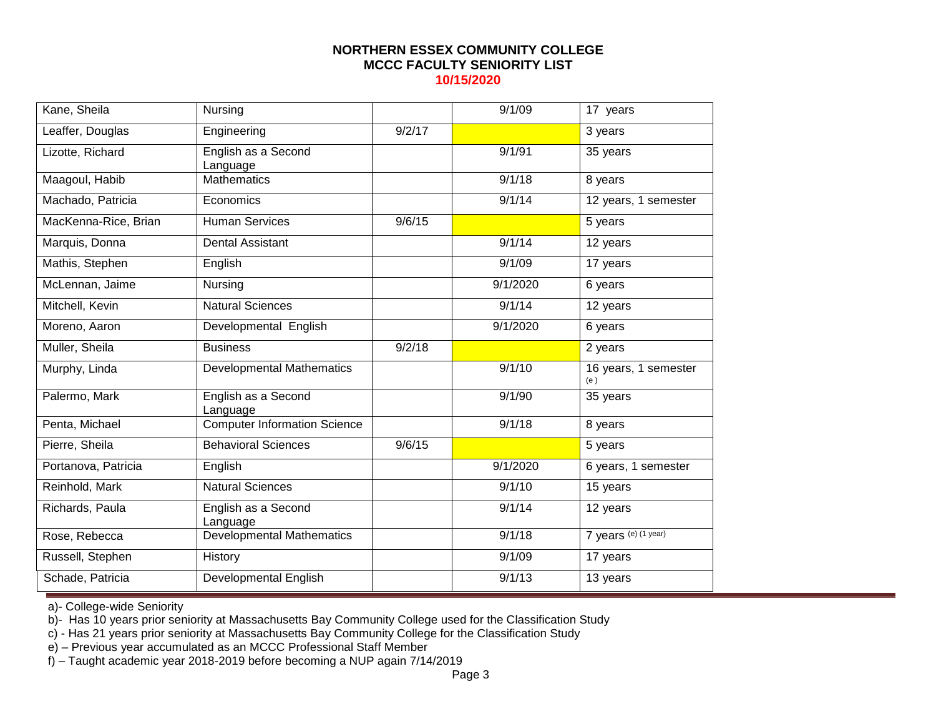| Kane, Sheila         | Nursing                             |        | 9/1/09   | 17 years                    |
|----------------------|-------------------------------------|--------|----------|-----------------------------|
| Leaffer, Douglas     | Engineering                         | 9/2/17 |          | 3 years                     |
| Lizotte, Richard     | English as a Second<br>Language     |        | 9/1/91   | 35 years                    |
| Maagoul, Habib       | <b>Mathematics</b>                  |        | 9/1/18   | 8 years                     |
| Machado, Patricia    | Economics                           |        | 9/1/14   | 12 years, 1 semester        |
| MacKenna-Rice, Brian | <b>Human Services</b>               | 9/6/15 |          | 5 years                     |
| Marquis, Donna       | <b>Dental Assistant</b>             |        | 9/1/14   | 12 years                    |
| Mathis, Stephen      | English                             |        | 9/1/09   | 17 years                    |
| McLennan, Jaime      | Nursing                             |        | 9/1/2020 | 6 years                     |
| Mitchell, Kevin      | <b>Natural Sciences</b>             |        | 9/1/14   | 12 years                    |
| Moreno, Aaron        | Developmental English               |        | 9/1/2020 | 6 years                     |
| Muller, Sheila       | <b>Business</b>                     | 9/2/18 |          | 2 years                     |
| Murphy, Linda        | <b>Developmental Mathematics</b>    |        | 9/1/10   | 16 years, 1 semester<br>(e) |
| Palermo, Mark        | English as a Second<br>Language     |        | 9/1/90   | 35 years                    |
| Penta, Michael       | <b>Computer Information Science</b> |        | 9/1/18   | 8 years                     |
| Pierre, Sheila       | <b>Behavioral Sciences</b>          | 9/6/15 |          | 5 years                     |
| Portanova, Patricia  | English                             |        | 9/1/2020 | 6 years, 1 semester         |
| Reinhold, Mark       | <b>Natural Sciences</b>             |        | 9/1/10   | 15 years                    |
| Richards, Paula      | English as a Second<br>Language     |        | 9/1/14   | 12 years                    |
| Rose, Rebecca        | <b>Developmental Mathematics</b>    |        | 9/1/18   | 7 years (e) (1 year)        |
| Russell, Stephen     | History                             |        | 9/1/09   | 17 years                    |
| Schade, Patricia     | Developmental English               |        | 9/1/13   | 13 years                    |

a)- College-wide Seniority

b)- Has 10 years prior seniority at Massachusetts Bay Community College used for the Classification Study

c) - Has 21 years prior seniority at Massachusetts Bay Community College for the Classification Study

e) – Previous year accumulated as an MCCC Professional Staff Member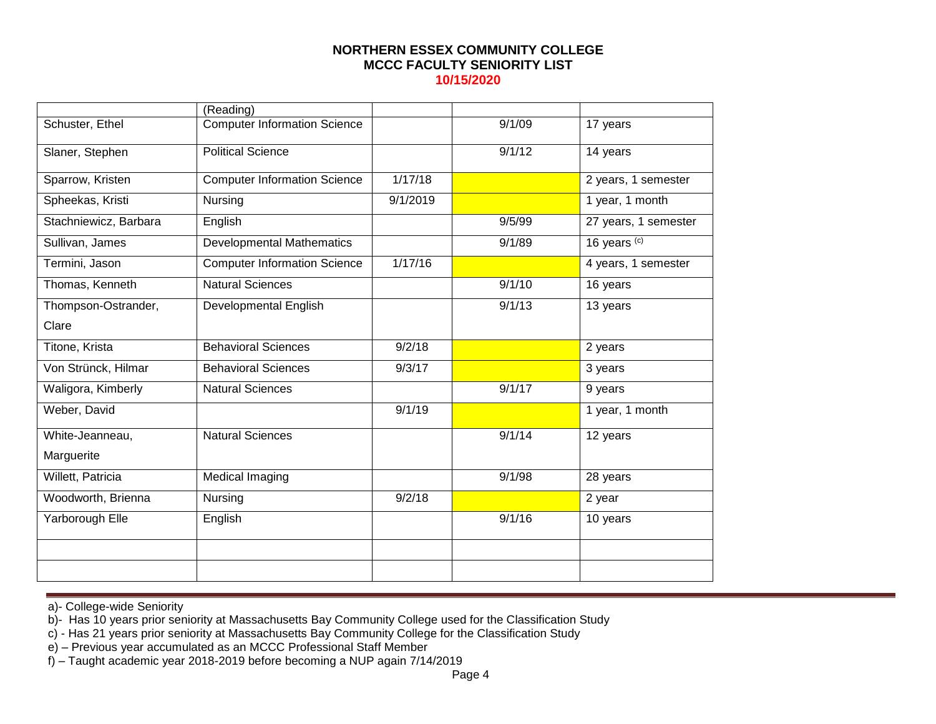|                       | (Reading)                           |          |        |                      |
|-----------------------|-------------------------------------|----------|--------|----------------------|
| Schuster, Ethel       | <b>Computer Information Science</b> |          | 9/1/09 | 17 years             |
| Slaner, Stephen       | <b>Political Science</b>            |          | 9/1/12 | 14 years             |
| Sparrow, Kristen      | <b>Computer Information Science</b> | 1/17/18  |        | 2 years, 1 semester  |
| Spheekas, Kristi      | Nursing                             | 9/1/2019 |        | 1 year, 1 month      |
| Stachniewicz, Barbara | English                             |          | 9/5/99 | 27 years, 1 semester |
| Sullivan, James       | <b>Developmental Mathematics</b>    |          | 9/1/89 | 16 years (c)         |
| Termini, Jason        | <b>Computer Information Science</b> | 1/17/16  |        | 4 years, 1 semester  |
| Thomas, Kenneth       | <b>Natural Sciences</b>             |          | 9/1/10 | 16 years             |
| Thompson-Ostrander,   | Developmental English               |          | 9/1/13 | 13 years             |
| Clare                 |                                     |          |        |                      |
| Titone, Krista        | <b>Behavioral Sciences</b>          | 9/2/18   |        | 2 years              |
| Von Strünck, Hilmar   | <b>Behavioral Sciences</b>          | 9/3/17   |        | 3 years              |
| Waligora, Kimberly    | <b>Natural Sciences</b>             |          | 9/1/17 | 9 years              |
| Weber, David          |                                     | 9/1/19   |        | 1 year, 1 month      |
| White-Jeanneau,       | <b>Natural Sciences</b>             |          | 9/1/14 | 12 years             |
| Marguerite            |                                     |          |        |                      |
| Willett, Patricia     | Medical Imaging                     |          | 9/1/98 | 28 years             |
| Woodworth, Brienna    | Nursing                             | 9/2/18   |        | 2 year               |
| Yarborough Elle       | English                             |          | 9/1/16 | 10 years             |
|                       |                                     |          |        |                      |
|                       |                                     |          |        |                      |

a)- College-wide Seniority

b)- Has 10 years prior seniority at Massachusetts Bay Community College used for the Classification Study

c) - Has 21 years prior seniority at Massachusetts Bay Community College for the Classification Study

e) – Previous year accumulated as an MCCC Professional Staff Member